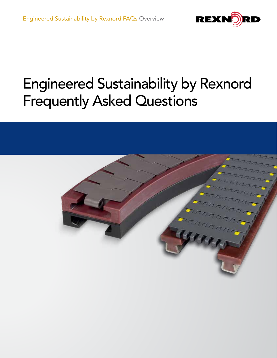

# Engineered Sustainability by Rexnord Frequently Asked Questions

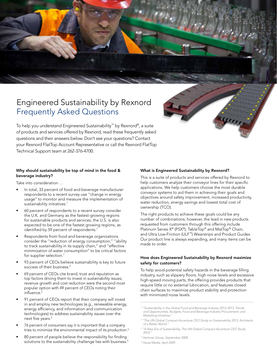# Engineered Sustainability by Rexnord Frequently Asked Questions

To help you understand Engineered Sustainability™ by Rexnord®, a suite of products and services offered by Rexnord, read these frequently asked questions and their answers below. Don't see your questions? Contact your Rexnord FlatTop Account Representative or call the Rexnord FlatTop Technical Support team at 262-376-4700.

# Why should sustainability be top of mind in the food & beverage industry?

Take into consideration …

- In total, 33 percent of food and beverage manufacturer respondents to a recent survey use ''change in energy usage'' to monitor and measure the implementation of sustainability initiatives.<sup>1</sup>
- 60 percent of respondents to a recent survey consider the U.K. and Germany as the fastest-growing regions for sustainable products and services; the U.S. is also expected to be one of the fastest growing regions, as identified by 59 percent of respondents.<sup>1</sup>
- Respondents from food and beverage organizations consider the ''reduction of energy consumption,'' ''ability to track sustainability in its supply chain," and "effective minimization of water consumption'' to be critical factors for supplier selection.<sup>1</sup>
- 93 percent of CEOs believe sustainability is key to future success of their business.<sup>2</sup>
- 69 percent of CEOs cite brand, trust and reputation as top factors driving them to invest in sustainability issues; revenue growth and cost reduction were the second most popular option with 49 percent of CEOs noting their influence.<sup>2</sup>
- 91 percent of CEOs report that their company will invest in and employ new technologies (e.g., renewable energy, energy efficiency, and information and communication technologies) to address sustainability issues over the next five years.<sup>3</sup>
- 76 percent of consumers say it is important that a company tries to minimize the environmental impact of its production.4
- 80 percent of people believe the responsibility for finding solutions to the sustainability challenge lies with business.<sup>5</sup>

# What is Engineered Sustainability by Rexnord?

This is a suite of products and services offered by Rexnord to help customers analyze their conveyor lines for their specific applications. We help customers choose the most durable conveyor systems to aid them in achieving their goals and objectives around safety improvement, increased productivity, water reduction, energy savings and lowest total cost of ownership (TCO).

The right products to achieve these goals could be any number of combinations; however, the lead in new products requested from customers through this offering include Platinum Series X® (PSX®), TableTop® and MatTop® Chain, and Ultra Low-Friction (ULF™) Wearstrips and Product Guides. Our product line is always expanding, and many items can be made to order.

# How does Engineered Sustainability by Rexnord maximize safety for customers?

To help avoid potential safety hazards in the beverage filling industry, such as slippery floors, high noise levels and excessive high-speed moving parts, the offering provides products that require little or no external lubrication, and features closed chain surfaces to maximize product stability and protection with minimized noise levels.

*5 Havas Media, April 2009.*

<sup>&</sup>lt;sup>1</sup> "Sustainability in the Global Food and Beverage Industry 2012–2013: Trends *and Opportunities, Budgets, Food and Beverage Industry Procurement, and Marketing Initiatives."*

<sup>&</sup>lt;sup>2</sup> "The UN Global Compact-Accenture CEO Study on Sustainability 2013, Architects *of a Better World."*

<sup>&</sup>lt;sup>3</sup> "A New Era of Sustainability, The UN Global Compact-Accenture CEO Study *2010."*

*<sup>4</sup> Hartman Group, September 2008.*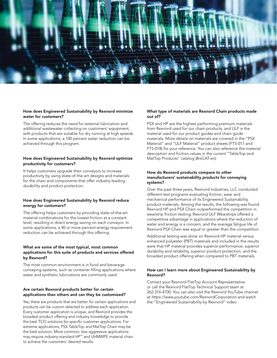

#### How does Engineered Sustainability by Rexnord minimize water for customers?

The offering reduces the need for external lubrication and additional wastewater collecting on customers' equipment, with products that are suitable for dry running at high speeds. In some applications, a 100 percent water reduction can be achieved through this program.

#### How does Engineered Sustainability by Rexnord optimize productivity for customers?

It helps customers upgrade their conveyors to increase productivity by using state-of-the-art designs and materials for the chain and components that offer industry-leading durability and product protection.

#### How does Engineered Sustainability by Rexnord reduce energy for customers?

The offering helps customers by providing state-of-the-art material combinations for the lowest friction at a constant level, resulting in direct energy saving on each conveyor. In some applications, a 40 or more percent energy requirement reduction can be achieved through this offering.

## What are some of the most typical, most common applications for this suite of products and services offered by Rexnord?

The most common environment is in food and beverage conveying systems, such as container filling applications where water and synthetic lubrications are commonly used.

# Are certain Rexnord products better for certain applications than others and can they be customized?

Yes, there are products that are better for certain applications and products can be custom selected to address each application. Every customer application is unique, and Rexnord provides the broadest product offering and industry knowledge to provide the best TCO solutions for specific customer applications. For extreme applications, PSX TableTop and MatTop Chain may be the best solution. More common, less aggressive applications may require industry-standard HP™ and UHMWPE material chain to achieve the customers' desired results.

## What type of materials are Rexnord Chain products made out of?

PSX and HP are the highest performing premium materials from Rexnord used for our chain products, and ULF is the material used for our product guides and chain guide materials. More details on materials are covered in the "PSX Material" and "ULF Material" product sheets (FT5-017 and FT5-018) for your reference. You can also reference the material description and friction values in the current "TableTop and MatTop Products" catalog (8rxCAT-en).

#### How do Rexnord products compare to other manufacturers' sustainability products for conveying systems?

Over the past three years, Rexnord Industries, LLC conducted different test programs evaluating friction, wear and mechanical performance of its Engineered Sustainability product materials. Among the results, the following was found: Rexnord HP and PSX Chain outperformed the competition in wearstrip friction testing; Rexnord ULF Wearstrips offered a competitive advantage in applications where the reduction of water and energy is a concern; and the average fatigue life of Rexnord PSX Chain was equal or greater than the competition.

Additional testing was done on Rexnord HP material versus enhanced polyester (PBT) materials and included in the results were that HP material provides superior performance, superior durability and reliability, superior product protection, and the broadest product offering when compared to PBT materials.

#### How can I learn more about Engineered Sustainability by Rexnord?

Contact your Rexnord FlatTop Account Representative or call the Rexnord FlatTop Technical Support team at 262-376-4700. You can also visit the Rexnord YouTube channel at *https://www.youtube.com/RexnordCorporation* and watch the "Engineered Sustainability by Rexnord" video.